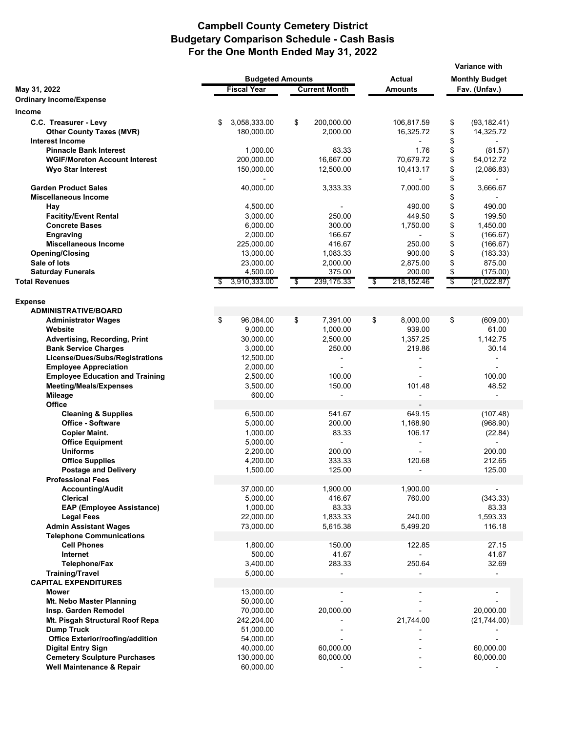## **Campbell County Cemetery District Budgetary Comparison Schedule - Cash Basis For the One Month Ended May 31, 2022**

|                                                         |                         |                      |                                       | <b>Variance with</b>                      |  |
|---------------------------------------------------------|-------------------------|----------------------|---------------------------------------|-------------------------------------------|--|
|                                                         | <b>Budgeted Amounts</b> |                      | Actual                                | <b>Monthly Budget</b>                     |  |
| May 31, 2022                                            | <b>Fiscal Year</b>      | <b>Current Month</b> | Amounts                               | Fav. (Unfav.)                             |  |
| <b>Ordinary Income/Expense</b>                          |                         |                      |                                       |                                           |  |
| Income                                                  |                         |                      |                                       |                                           |  |
|                                                         |                         |                      |                                       |                                           |  |
| C.C. Treasurer - Levy                                   | 3,058,333.00<br>\$      | \$<br>200,000.00     | 106,817.59                            | \$<br>(93, 182.41)                        |  |
| <b>Other County Taxes (MVR)</b>                         | 180,000.00              | 2,000.00             | 16,325.72                             | \$<br>14,325.72<br>$\overline{a}$         |  |
| <b>Interest Income</b><br><b>Pinnacle Bank Interest</b> | 1,000.00                | 83.33                | 1.76                                  | \$                                        |  |
| <b>WGIF/Moreton Account Interest</b>                    | 200,000.00              | 16,667.00            | 70,679.72                             | \$<br>(81.57)<br>\$<br>54,012.72          |  |
| <b>Wyo Star Interest</b>                                | 150,000.00              | 12,500.00            | 10,413.17                             | \$<br>(2,086.83)                          |  |
|                                                         |                         |                      |                                       | \$                                        |  |
| <b>Garden Product Sales</b>                             | 40,000.00               | 3,333.33             | 7,000.00                              | \$<br>3,666.67                            |  |
| <b>Miscellaneous Income</b>                             |                         |                      |                                       | \$                                        |  |
| Hay                                                     | 4,500.00                |                      | 490.00                                | \$<br>490.00                              |  |
| <b>Facitity/Event Rental</b>                            | 3,000.00                | 250.00               | 449.50                                | \$<br>199.50                              |  |
| <b>Concrete Bases</b>                                   | 6,000.00                | 300.00               | 1,750.00                              | \$<br>1,450.00                            |  |
| <b>Engraving</b>                                        | 2,000.00                | 166.67               |                                       | \$<br>(166.67)                            |  |
| <b>Miscellaneous Income</b>                             | 225,000.00              | 416.67               | 250.00                                | \$<br>(166.67)                            |  |
| <b>Opening/Closing</b>                                  | 13,000.00               | 1,083.33             | 900.00                                | \$<br>(183.33)                            |  |
| Sale of lots                                            | 23,000.00               | 2,000.00             | 2,875.00                              | \$<br>875.00                              |  |
| <b>Saturday Funerals</b>                                | 4,500.00                | 375.00               | 200.00                                | \$<br>(175.00)                            |  |
| <b>Total Revenues</b>                                   | 3,910,333.00            | \$<br>239,175.33     | $\sqrt[6]{\frac{2}{5}}$<br>218,152.46 | $\overline{\mathfrak{s}}$<br>(21, 022.87) |  |
|                                                         |                         |                      |                                       |                                           |  |
| <b>Expense</b>                                          |                         |                      |                                       |                                           |  |
| <b>ADMINISTRATIVE/BOARD</b>                             |                         |                      |                                       |                                           |  |
| <b>Administrator Wages</b>                              | \$<br>96.084.00         | \$<br>7,391.00       | \$<br>8,000.00                        | \$<br>(609.00)                            |  |
| Website                                                 | 9,000.00                | 1,000.00             | 939.00                                | 61.00                                     |  |
| <b>Advertising, Recording, Print</b>                    | 30,000.00               | 2,500.00             | 1,357.25                              | 1,142.75                                  |  |
| <b>Bank Service Charges</b>                             | 3,000.00                | 250.00               | 219.86                                | 30.14                                     |  |
| License/Dues/Subs/Registrations                         | 12,500.00               |                      |                                       |                                           |  |
| <b>Employee Appreciation</b>                            | 2,000.00                |                      | $\overline{a}$                        |                                           |  |
| <b>Employee Education and Training</b>                  | 2,500.00                | 100.00               |                                       | 100.00                                    |  |
| <b>Meeting/Meals/Expenses</b>                           | 3,500.00                | 150.00               | 101.48                                | 48.52                                     |  |
| <b>Mileage</b>                                          | 600.00                  |                      |                                       | $\overline{a}$                            |  |
| Office                                                  |                         |                      |                                       |                                           |  |
| <b>Cleaning &amp; Supplies</b>                          | 6,500.00                | 541.67               | 649.15                                | (107.48)                                  |  |
| <b>Office - Software</b>                                | 5,000.00                | 200.00               | 1,168.90                              | (968.90)                                  |  |
| <b>Copier Maint.</b>                                    | 1,000.00                | 83.33                | 106.17                                | (22.84)                                   |  |
| <b>Office Equipment</b>                                 | 5,000.00                | $\overline{a}$       |                                       |                                           |  |
| <b>Uniforms</b>                                         | 2,200.00                | 200.00               |                                       | 200.00                                    |  |
| <b>Office Supplies</b>                                  | 4,200.00                | 333.33               | 120.68                                | 212.65                                    |  |
| <b>Postage and Delivery</b>                             | 1.500.00                | 125.00               |                                       | 125.00                                    |  |
| <b>Professional Fees</b>                                |                         |                      |                                       |                                           |  |
| <b>Accounting/Audit</b>                                 | 37,000.00               | 1,900.00             | 1,900.00                              |                                           |  |
| Clerical                                                | 5,000.00                | 416.67               | 760.00                                | (343.33)                                  |  |
| <b>EAP (Employee Assistance)</b>                        | 1,000.00                | 83.33                |                                       | 83.33                                     |  |
| Legal Fees                                              | 22,000.00               | 1,833.33             | 240.00                                | 1,593.33                                  |  |
| <b>Admin Assistant Wages</b>                            | 73,000.00               | 5,615.38             | 5,499.20                              | 116.18                                    |  |
| <b>Telephone Communications</b>                         |                         |                      |                                       |                                           |  |
| <b>Cell Phones</b>                                      | 1,800.00                | 150.00               | 122.85                                | 27.15                                     |  |
| Internet                                                | 500.00                  | 41.67                |                                       | 41.67                                     |  |
| Telephone/Fax                                           | 3,400.00                | 283.33               | 250.64                                | 32.69                                     |  |
| <b>Training/Travel</b>                                  | 5,000.00                |                      |                                       | $\overline{\phantom{0}}$                  |  |
| <b>CAPITAL EXPENDITURES</b>                             |                         |                      |                                       |                                           |  |
| <b>Mower</b>                                            | 13,000.00               |                      |                                       |                                           |  |
| Mt. Nebo Master Planning                                | 50,000.00               |                      |                                       |                                           |  |
| Insp. Garden Remodel                                    | 70,000.00               | 20,000.00            |                                       | 20,000.00                                 |  |
| Mt. Pisgah Structural Roof Repa                         | 242,204.00              |                      | 21,744.00                             | (21, 744.00)                              |  |
| <b>Dump Truck</b>                                       | 51,000.00               |                      |                                       |                                           |  |
| <b>Office Exterior/roofing/addition</b>                 | 54,000.00               |                      |                                       |                                           |  |
| <b>Digital Entry Sign</b>                               | 40,000.00               | 60,000.00            |                                       | 60,000.00                                 |  |
| <b>Cemetery Sculpture Purchases</b>                     | 130,000.00              | 60,000.00            |                                       | 60,000.00                                 |  |
| Well Maintenance & Repair                               | 60,000.00               |                      |                                       |                                           |  |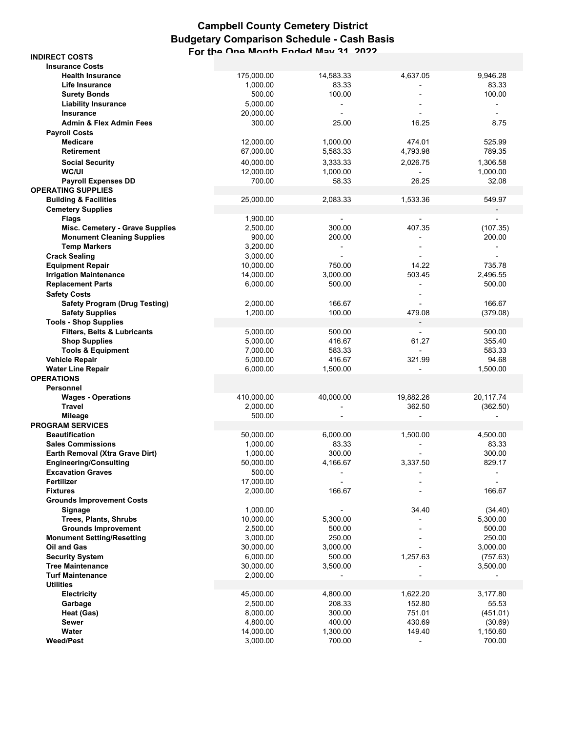## **Campbell County Cemetery District Budgetary Comparison Schedule - Cash Basis**

|                                        | For the One Month Ended May 21 2022 |           |           |           |
|----------------------------------------|-------------------------------------|-----------|-----------|-----------|
| <b>INDIRECT COSTS</b>                  |                                     |           |           |           |
| <b>Insurance Costs</b>                 |                                     |           |           |           |
| <b>Health Insurance</b>                | 175,000.00                          | 14,583.33 | 4,637.05  | 9.946.28  |
| Life Insurance                         | 1,000.00                            | 83.33     |           | 83.33     |
| <b>Surety Bonds</b>                    | 500.00                              | 100.00    |           | 100.00    |
| <b>Liability Insurance</b>             | 5,000.00                            |           |           |           |
| Insurance                              | 20,000.00                           |           |           |           |
| <b>Admin &amp; Flex Admin Fees</b>     | 300.00                              | 25.00     | 16.25     | 8.75      |
| <b>Payroll Costs</b>                   |                                     |           |           |           |
| <b>Medicare</b>                        | 12,000.00                           | 1,000.00  | 474.01    | 525.99    |
| Retirement                             | 67,000.00                           | 5,583.33  | 4,793.98  | 789.35    |
| <b>Social Security</b>                 | 40,000.00                           | 3,333.33  | 2,026.75  | 1,306.58  |
| WC/UI                                  | 12,000.00                           | 1,000.00  |           | 1,000.00  |
| <b>Payroll Expenses DD</b>             | 700.00                              | 58.33     | 26.25     | 32.08     |
| <b>OPERATING SUPPLIES</b>              |                                     |           |           |           |
| <b>Building &amp; Facilities</b>       | 25,000.00                           | 2,083.33  | 1,533.36  | 549.97    |
| <b>Cemetery Supplies</b>               |                                     |           |           |           |
| <b>Flags</b>                           | 1,900.00                            |           |           |           |
| <b>Misc. Cemetery - Grave Supplies</b> | 2,500.00                            | 300.00    | 407.35    | (107.35)  |
| <b>Monument Cleaning Supplies</b>      | 900.00                              | 200.00    |           | 200.00    |
| <b>Temp Markers</b>                    | 3,200.00                            |           |           |           |
| <b>Crack Sealing</b>                   | 3,000.00                            |           |           |           |
| <b>Equipment Repair</b>                | 10,000.00                           | 750.00    | 14.22     | 735.78    |
| <b>Irrigation Maintenance</b>          | 14,000.00                           | 3,000.00  | 503.45    | 2,496.55  |
| <b>Replacement Parts</b>               | 6,000.00                            | 500.00    |           | 500.00    |
| <b>Safety Costs</b>                    |                                     |           |           |           |
| <b>Safety Program (Drug Testing)</b>   | 2,000.00                            | 166.67    |           | 166.67    |
| <b>Safety Supplies</b>                 | 1,200.00                            | 100.00    | 479.08    | (379.08)  |
| <b>Tools - Shop Supplies</b>           |                                     |           |           |           |
| <b>Filters, Belts &amp; Lubricants</b> | 5,000.00                            | 500.00    |           | 500.00    |
| <b>Shop Supplies</b>                   | 5,000.00                            | 416.67    | 61.27     | 355.40    |
| <b>Tools &amp; Equipment</b>           | 7,000.00                            | 583.33    |           | 583.33    |
| <b>Vehicle Repair</b>                  | 5,000.00                            | 416.67    | 321.99    | 94.68     |
| <b>Water Line Repair</b>               | 6,000.00                            | 1,500.00  |           | 1,500.00  |
| <b>OPERATIONS</b>                      |                                     |           |           |           |
| Personnel                              |                                     |           |           |           |
| <b>Wages - Operations</b>              | 410,000.00                          | 40,000.00 | 19,882.26 | 20,117.74 |
| Travel                                 | 2,000.00                            |           | 362.50    | (362.50)  |
| <b>Mileage</b>                         | 500.00                              |           |           |           |
| <b>PROGRAM SERVICES</b>                |                                     |           |           |           |
| <b>Beautification</b>                  | 50,000.00                           | 6,000.00  | 1,500.00  | 4,500.00  |
| <b>Sales Commissions</b>               | 1,000.00                            | 83.33     |           | 83.33     |
| Earth Removal (Xtra Grave Dirt)        | 1,000.00                            | 300.00    |           | 300.00    |
| <b>Engineering/Consulting</b>          | 50,000.00                           | 4,166.67  | 3,337.50  | 829.17    |
| <b>Excavation Graves</b>               | 500.00                              |           |           |           |
| Fertilizer                             | 17,000.00                           |           |           |           |
| <b>Fixtures</b>                        | 2,000.00                            | 166.67    |           | 166.67    |
| <b>Grounds Improvement Costs</b>       |                                     |           |           |           |
| Signage                                | 1,000.00                            |           | 34.40     | (34.40)   |
| Trees, Plants, Shrubs                  | 10,000.00                           | 5.300.00  |           | 5,300.00  |
| <b>Grounds Improvement</b>             | 2,500.00                            | 500.00    |           | 500.00    |
| <b>Monument Setting/Resetting</b>      | 3,000.00                            | 250.00    |           | 250.00    |
| Oil and Gas                            | 30,000.00                           | 3,000.00  |           | 3,000.00  |
| <b>Security System</b>                 | 6,000.00                            | 500.00    | 1,257.63  | (757.63)  |
| <b>Tree Maintenance</b>                | 30,000.00                           | 3,500.00  |           | 3,500.00  |
| <b>Turf Maintenance</b>                | 2,000.00                            |           |           |           |
| <b>Utilities</b>                       |                                     |           |           |           |
| <b>Electricity</b>                     | 45,000.00                           | 4,800.00  | 1,622.20  | 3,177.80  |
| Garbage                                | 2,500.00                            | 208.33    | 152.80    | 55.53     |
| Heat (Gas)                             | 8,000.00                            | 300.00    | 751.01    | (451.01)  |
| Sewer                                  | 4,800.00                            | 400.00    | 430.69    | (30.69)   |
| Water                                  | 14,000.00                           | 1,300.00  | 149.40    | 1,150.60  |
| <b>Weed/Pest</b>                       | 3,000.00                            | 700.00    |           | 700.00    |